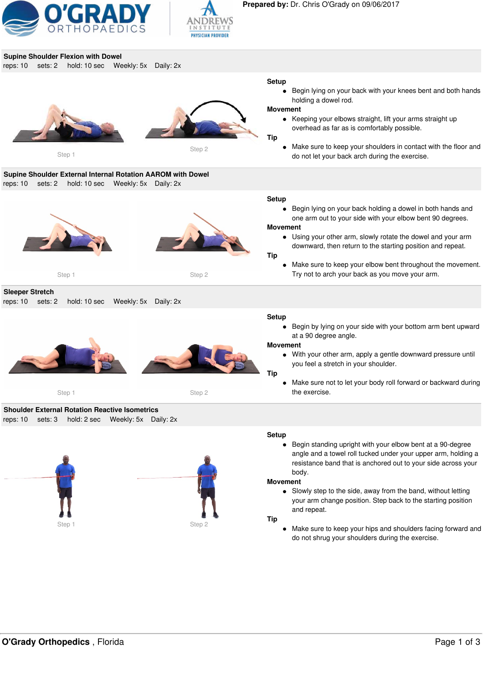









Begin standing upright with your elbow bent at a 90-degree  $\bullet$ angle and a towel roll tucked under your upper arm, holding a resistance band that is anchored out to your side across your body.

#### **Movement**

• Slowly step to the side, away from the band, without letting your arm change position. Step back to the starting position and repeat.

#### **Tip**

Make sure to keep your hips and shoulders facing forward and do not shrug your shoulders during the exercise.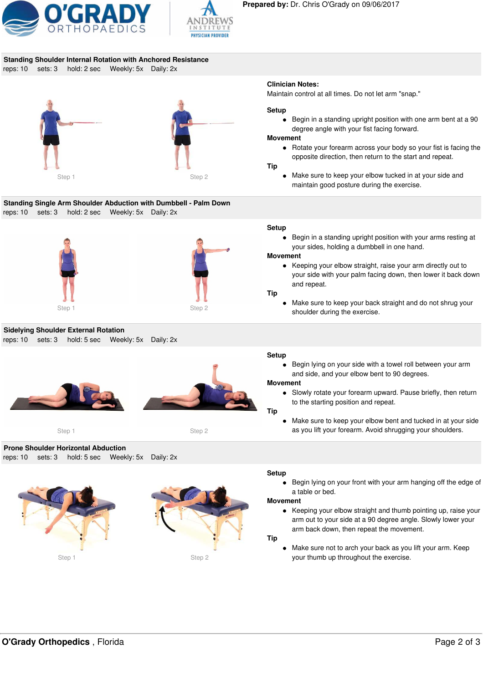



# **Standing Shoulder Internal Rotation with Anchored Resistance**

reps: 10 sets: 3 hold: 2 sec Weekly: 5x Daily: 2x



**Standing Single Arm Shoulder Abduction with Dumbbell - Palm Down** reps: 10 sets: 3 hold: 2 sec Weekly: 5x Daily: 2x





**Sidelying Shoulder External Rotation** reps: 10 sets: 3 hold: 5 sec Weekly: 5x Daily: 2x





Step 1 Step 2

**Prone Shoulder Horizontal Abduction** reps: 10 sets: 3 hold: 5 sec Weekly: 5x Daily: 2x





## **Clinician Notes:**

Maintain control at all times. Do not let arm "snap."

## **Setup**

Begin in a standing upright position with one arm bent at a 90  $\bullet$ degree angle with your fist facing forward.

## **Movement**

• Rotate your forearm across your body so your fist is facing the opposite direction, then return to the start and repeat.

## **Tip**

Make sure to keep your elbow tucked in at your side and maintain good posture during the exercise.

## **Setup**

Begin in a standing upright position with your arms resting at your sides, holding a dumbbell in one hand.

## **Movement**

Keeping your elbow straight, raise your arm directly out to your side with your palm facing down, then lower it back down and repeat.

#### **Tip**

Make sure to keep your back straight and do not shrug your shoulder during the exercise.

## **Setup**

Begin lying on your side with a towel roll between your arm  $\bullet$ and side, and your elbow bent to 90 degrees.

## **Movement**

Slowly rotate your forearm upward. Pause briefly, then return to the starting position and repeat.

## **Tip**

Make sure to keep your elbow bent and tucked in at your side as you lift your forearm. Avoid shrugging your shoulders.

## **Setup**

Begin lying on your front with your arm hanging off the edge of a table or bed.

## **Movement**

• Keeping your elbow straight and thumb pointing up, raise your arm out to your side at a 90 degree angle. Slowly lower your arm back down, then repeat the movement.

## **Tip**

Make sure not to arch your back as you lift your arm. Keep your thumb up throughout the exercise.